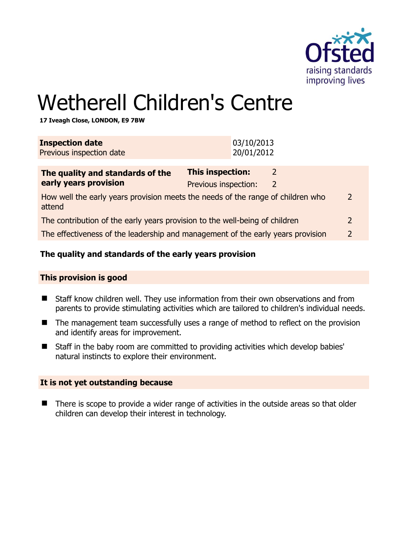

# Wetherell Children's Centre

**17 Iveagh Close, LONDON, E9 7BW** 

| <b>Inspection date</b><br>Previous inspection date                                               |                                          | 03/10/2013<br>20/01/2012 |                    |               |
|--------------------------------------------------------------------------------------------------|------------------------------------------|--------------------------|--------------------|---------------|
| The quality and standards of the<br>early years provision                                        | This inspection:<br>Previous inspection: |                          | 2<br>$\mathcal{L}$ |               |
| How well the early years provision meets the needs of the range of children who<br>attend        |                                          |                          |                    | $\mathcal{P}$ |
| The contribution of the early years provision to the well-being of children<br>$\overline{2}$    |                                          |                          |                    |               |
| The effectiveness of the leadership and management of the early years provision<br>$\mathcal{L}$ |                                          |                          |                    |               |
|                                                                                                  |                                          |                          |                    |               |

### **The quality and standards of the early years provision**

#### **This provision is good**

- Staff know children well. They use information from their own observations and from parents to provide stimulating activities which are tailored to children's individual needs.
- The management team successfully uses a range of method to reflect on the provision and identify areas for improvement.
- Staff in the baby room are committed to providing activities which develop babies' natural instincts to explore their environment.

#### **It is not yet outstanding because**

■ There is scope to provide a wider range of activities in the outside areas so that older children can develop their interest in technology.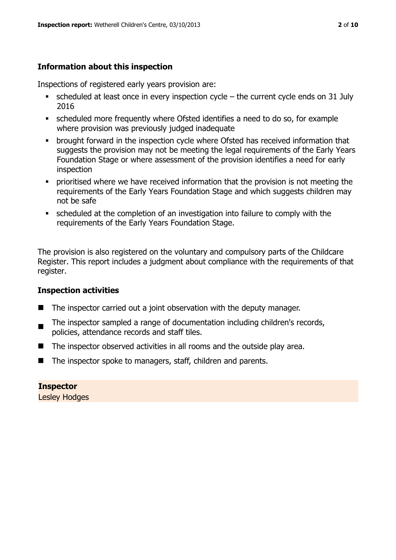# **Information about this inspection**

Inspections of registered early years provision are:

- $\bullet$  scheduled at least once in every inspection cycle the current cycle ends on 31 July 2016
- scheduled more frequently where Ofsted identifies a need to do so, for example where provision was previously judged inadequate
- **•** brought forward in the inspection cycle where Ofsted has received information that suggests the provision may not be meeting the legal requirements of the Early Years Foundation Stage or where assessment of the provision identifies a need for early inspection
- **•** prioritised where we have received information that the provision is not meeting the requirements of the Early Years Foundation Stage and which suggests children may not be safe
- scheduled at the completion of an investigation into failure to comply with the requirements of the Early Years Foundation Stage.

The provision is also registered on the voluntary and compulsory parts of the Childcare Register. This report includes a judgment about compliance with the requirements of that register.

# **Inspection activities**

- $\blacksquare$  The inspector carried out a joint observation with the deputy manager.
- . The inspector sampled a range of documentation including children's records, policies, attendance records and staff tiles.
- The inspector observed activities in all rooms and the outside play area.
- The inspector spoke to managers, staff, children and parents.

# **Inspector**

Lesley Hodges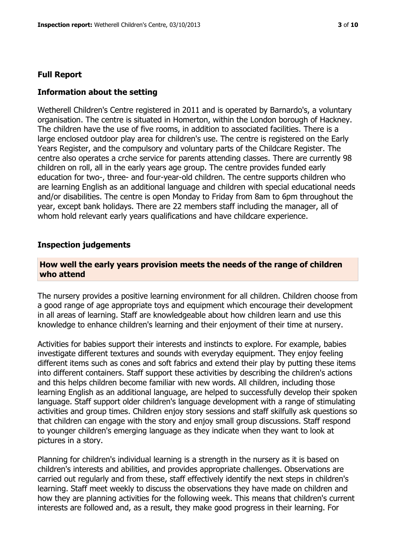#### **Full Report**

#### **Information about the setting**

Wetherell Children's Centre registered in 2011 and is operated by Barnardo's, a voluntary organisation. The centre is situated in Homerton, within the London borough of Hackney. The children have the use of five rooms, in addition to associated facilities. There is a large enclosed outdoor play area for children's use. The centre is registered on the Early Years Register, and the compulsory and voluntary parts of the Childcare Register. The centre also operates a crche service for parents attending classes. There are currently 98 children on roll, all in the early years age group. The centre provides funded early education for two-, three- and four-year-old children. The centre supports children who are learning English as an additional language and children with special educational needs and/or disabilities. The centre is open Monday to Friday from 8am to 6pm throughout the year, except bank holidays. There are 22 members staff including the manager, all of whom hold relevant early years qualifications and have childcare experience.

#### **Inspection judgements**

#### **How well the early years provision meets the needs of the range of children who attend**

The nursery provides a positive learning environment for all children. Children choose from a good range of age appropriate toys and equipment which encourage their development in all areas of learning. Staff are knowledgeable about how children learn and use this knowledge to enhance children's learning and their enjoyment of their time at nursery.

Activities for babies support their interests and instincts to explore. For example, babies investigate different textures and sounds with everyday equipment. They enjoy feeling different items such as cones and soft fabrics and extend their play by putting these items into different containers. Staff support these activities by describing the children's actions and this helps children become familiar with new words. All children, including those learning English as an additional language, are helped to successfully develop their spoken language. Staff support older children's language development with a range of stimulating activities and group times. Children enjoy story sessions and staff skilfully ask questions so that children can engage with the story and enjoy small group discussions. Staff respond to younger children's emerging language as they indicate when they want to look at pictures in a story.

Planning for children's individual learning is a strength in the nursery as it is based on children's interests and abilities, and provides appropriate challenges. Observations are carried out regularly and from these, staff effectively identify the next steps in children's learning. Staff meet weekly to discuss the observations they have made on children and how they are planning activities for the following week. This means that children's current interests are followed and, as a result, they make good progress in their learning. For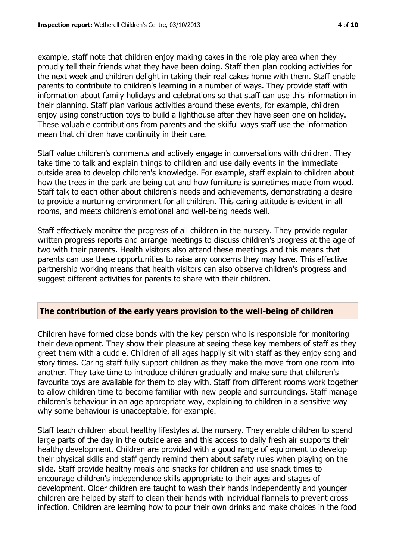example, staff note that children enjoy making cakes in the role play area when they proudly tell their friends what they have been doing. Staff then plan cooking activities for the next week and children delight in taking their real cakes home with them. Staff enable parents to contribute to children's learning in a number of ways. They provide staff with information about family holidays and celebrations so that staff can use this information in their planning. Staff plan various activities around these events, for example, children enjoy using construction toys to build a lighthouse after they have seen one on holiday. These valuable contributions from parents and the skilful ways staff use the information mean that children have continuity in their care.

Staff value children's comments and actively engage in conversations with children. They take time to talk and explain things to children and use daily events in the immediate outside area to develop children's knowledge. For example, staff explain to children about how the trees in the park are being cut and how furniture is sometimes made from wood. Staff talk to each other about children's needs and achievements, demonstrating a desire to provide a nurturing environment for all children. This caring attitude is evident in all rooms, and meets children's emotional and well-being needs well.

Staff effectively monitor the progress of all children in the nursery. They provide regular written progress reports and arrange meetings to discuss children's progress at the age of two with their parents. Health visitors also attend these meetings and this means that parents can use these opportunities to raise any concerns they may have. This effective partnership working means that health visitors can also observe children's progress and suggest different activities for parents to share with their children.

# **The contribution of the early years provision to the well-being of children**

Children have formed close bonds with the key person who is responsible for monitoring their development. They show their pleasure at seeing these key members of staff as they greet them with a cuddle. Children of all ages happily sit with staff as they enjoy song and story times. Caring staff fully support children as they make the move from one room into another. They take time to introduce children gradually and make sure that children's favourite toys are available for them to play with. Staff from different rooms work together to allow children time to become familiar with new people and surroundings. Staff manage children's behaviour in an age appropriate way, explaining to children in a sensitive way why some behaviour is unacceptable, for example.

Staff teach children about healthy lifestyles at the nursery. They enable children to spend large parts of the day in the outside area and this access to daily fresh air supports their healthy development. Children are provided with a good range of equipment to develop their physical skills and staff gently remind them about safety rules when playing on the slide. Staff provide healthy meals and snacks for children and use snack times to encourage children's independence skills appropriate to their ages and stages of development. Older children are taught to wash their hands independently and younger children are helped by staff to clean their hands with individual flannels to prevent cross infection. Children are learning how to pour their own drinks and make choices in the food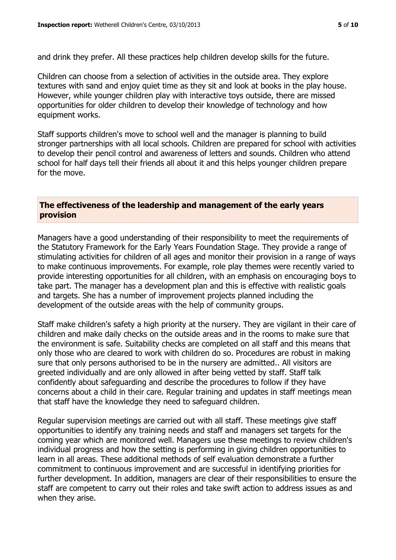and drink they prefer. All these practices help children develop skills for the future.

Children can choose from a selection of activities in the outside area. They explore textures with sand and enjoy quiet time as they sit and look at books in the play house. However, while younger children play with interactive toys outside, there are missed opportunities for older children to develop their knowledge of technology and how equipment works.

Staff supports children's move to school well and the manager is planning to build stronger partnerships with all local schools. Children are prepared for school with activities to develop their pencil control and awareness of letters and sounds. Children who attend school for half days tell their friends all about it and this helps younger children prepare for the move.

### **The effectiveness of the leadership and management of the early years provision**

Managers have a good understanding of their responsibility to meet the requirements of the Statutory Framework for the Early Years Foundation Stage. They provide a range of stimulating activities for children of all ages and monitor their provision in a range of ways to make continuous improvements. For example, role play themes were recently varied to provide interesting opportunities for all children, with an emphasis on encouraging boys to take part. The manager has a development plan and this is effective with realistic goals and targets. She has a number of improvement projects planned including the development of the outside areas with the help of community groups.

Staff make children's safety a high priority at the nursery. They are vigilant in their care of children and make daily checks on the outside areas and in the rooms to make sure that the environment is safe. Suitability checks are completed on all staff and this means that only those who are cleared to work with children do so. Procedures are robust in making sure that only persons authorised to be in the nursery are admitted.. All visitors are greeted individually and are only allowed in after being vetted by staff. Staff talk confidently about safeguarding and describe the procedures to follow if they have concerns about a child in their care. Regular training and updates in staff meetings mean that staff have the knowledge they need to safeguard children.

Regular supervision meetings are carried out with all staff. These meetings give staff opportunities to identify any training needs and staff and managers set targets for the coming year which are monitored well. Managers use these meetings to review children's individual progress and how the setting is performing in giving children opportunities to learn in all areas. These additional methods of self evaluation demonstrate a further commitment to continuous improvement and are successful in identifying priorities for further development. In addition, managers are clear of their responsibilities to ensure the staff are competent to carry out their roles and take swift action to address issues as and when they arise.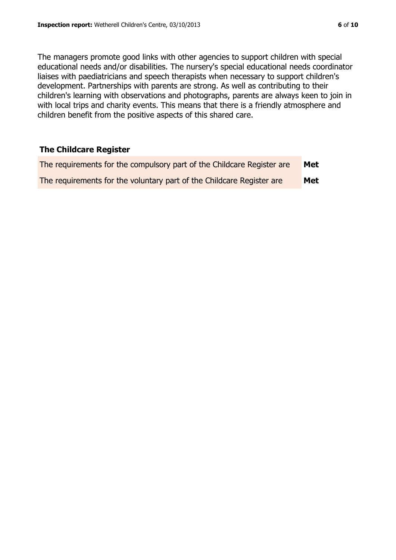The managers promote good links with other agencies to support children with special educational needs and/or disabilities. The nursery's special educational needs coordinator liaises with paediatricians and speech therapists when necessary to support children's development. Partnerships with parents are strong. As well as contributing to their children's learning with observations and photographs, parents are always keen to join in with local trips and charity events. This means that there is a friendly atmosphere and children benefit from the positive aspects of this shared care.

### **The Childcare Register**

| The requirements for the compulsory part of the Childcare Register are | Met |
|------------------------------------------------------------------------|-----|
| The requirements for the voluntary part of the Childcare Register are  | Met |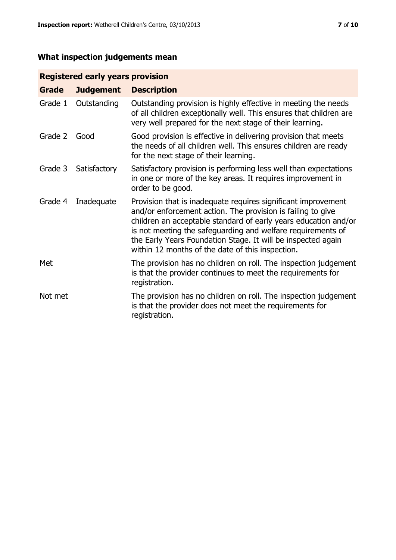# **What inspection judgements mean**

# **Registered early years provision**

| <b>Grade</b> | <b>Judgement</b> | <b>Description</b>                                                                                                                                                                                                                                                                                                                                                                 |
|--------------|------------------|------------------------------------------------------------------------------------------------------------------------------------------------------------------------------------------------------------------------------------------------------------------------------------------------------------------------------------------------------------------------------------|
| Grade 1      | Outstanding      | Outstanding provision is highly effective in meeting the needs<br>of all children exceptionally well. This ensures that children are<br>very well prepared for the next stage of their learning.                                                                                                                                                                                   |
| Grade 2      | Good             | Good provision is effective in delivering provision that meets<br>the needs of all children well. This ensures children are ready<br>for the next stage of their learning.                                                                                                                                                                                                         |
| Grade 3      | Satisfactory     | Satisfactory provision is performing less well than expectations<br>in one or more of the key areas. It requires improvement in<br>order to be good.                                                                                                                                                                                                                               |
| Grade 4      | Inadequate       | Provision that is inadequate requires significant improvement<br>and/or enforcement action. The provision is failing to give<br>children an acceptable standard of early years education and/or<br>is not meeting the safeguarding and welfare requirements of<br>the Early Years Foundation Stage. It will be inspected again<br>within 12 months of the date of this inspection. |
| Met          |                  | The provision has no children on roll. The inspection judgement<br>is that the provider continues to meet the requirements for<br>registration.                                                                                                                                                                                                                                    |
| Not met      |                  | The provision has no children on roll. The inspection judgement<br>is that the provider does not meet the requirements for<br>registration.                                                                                                                                                                                                                                        |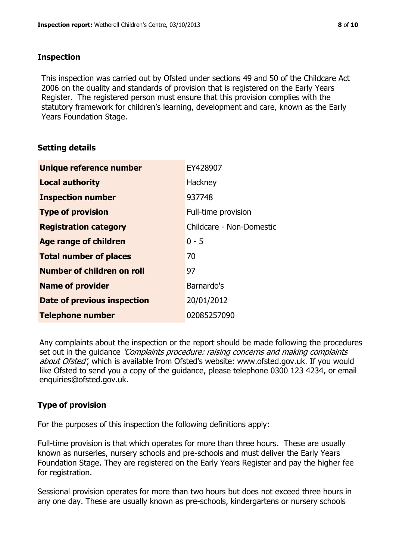### **Inspection**

This inspection was carried out by Ofsted under sections 49 and 50 of the Childcare Act 2006 on the quality and standards of provision that is registered on the Early Years Register. The registered person must ensure that this provision complies with the statutory framework for children's learning, development and care, known as the Early Years Foundation Stage.

# **Setting details**

| Unique reference number            | EY428907                 |
|------------------------------------|--------------------------|
| <b>Local authority</b>             | Hackney                  |
| <b>Inspection number</b>           | 937748                   |
| <b>Type of provision</b>           | Full-time provision      |
| <b>Registration category</b>       | Childcare - Non-Domestic |
| <b>Age range of children</b>       | $0 - 5$                  |
| <b>Total number of places</b>      | 70                       |
| Number of children on roll         | 97                       |
| <b>Name of provider</b>            | Barnardo's               |
| <b>Date of previous inspection</b> | 20/01/2012               |
| <b>Telephone number</b>            | 02085257090              |

Any complaints about the inspection or the report should be made following the procedures set out in the guidance *'Complaints procedure: raising concerns and making complaints* about Ofsted', which is available from Ofsted's website: www.ofsted.gov.uk. If you would like Ofsted to send you a copy of the guidance, please telephone 0300 123 4234, or email enquiries@ofsted.gov.uk.

# **Type of provision**

For the purposes of this inspection the following definitions apply:

Full-time provision is that which operates for more than three hours. These are usually known as nurseries, nursery schools and pre-schools and must deliver the Early Years Foundation Stage. They are registered on the Early Years Register and pay the higher fee for registration.

Sessional provision operates for more than two hours but does not exceed three hours in any one day. These are usually known as pre-schools, kindergartens or nursery schools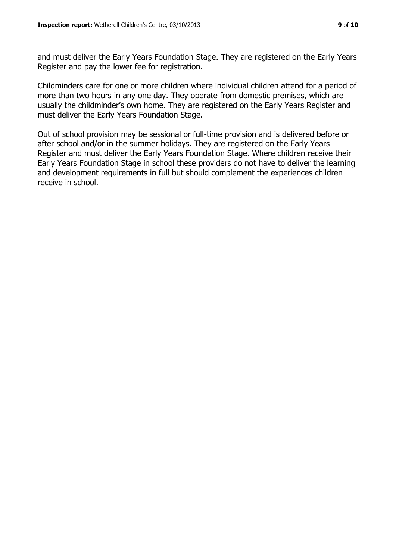and must deliver the Early Years Foundation Stage. They are registered on the Early Years Register and pay the lower fee for registration.

Childminders care for one or more children where individual children attend for a period of more than two hours in any one day. They operate from domestic premises, which are usually the childminder's own home. They are registered on the Early Years Register and must deliver the Early Years Foundation Stage.

Out of school provision may be sessional or full-time provision and is delivered before or after school and/or in the summer holidays. They are registered on the Early Years Register and must deliver the Early Years Foundation Stage. Where children receive their Early Years Foundation Stage in school these providers do not have to deliver the learning and development requirements in full but should complement the experiences children receive in school.